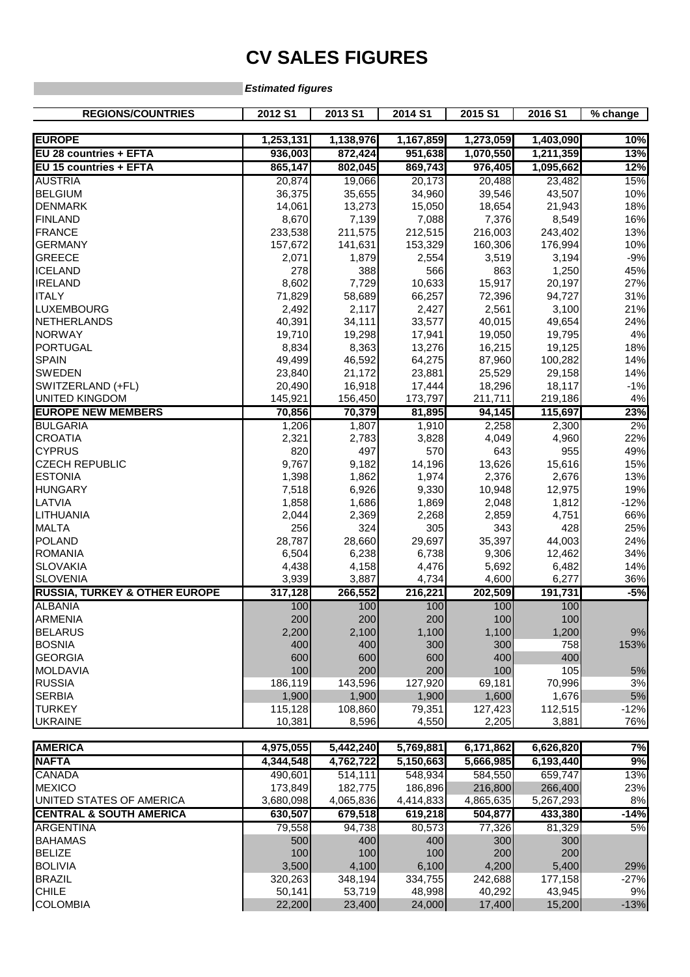## **CV SALES FIGURES**

**Estimated figures**

| <b>REGIONS/COUNTRIES</b>                 | 2012 S1   | 2013 S1   | 2014 S1   | 2015 S1   | 2016 S1   | % change |
|------------------------------------------|-----------|-----------|-----------|-----------|-----------|----------|
| <b>EUROPE</b>                            | 1,253,131 | 1,138,976 | 1,167,859 | 1,273,059 | 1,403,090 | 10%      |
| EU 28 countries + EFTA                   | 936,003   | 872,424   | 951,638   | 1,070,550 | 1,211,359 | 13%      |
| EU 15 countries + EFTA                   | 865,147   | 802,045   | 869,743   | 976,405   | 1,095,662 | 12%      |
| <b>AUSTRIA</b>                           | 20,874    | 19,066    | 20,173    | 20,488    | 23,482    | 15%      |
| <b>BELGIUM</b>                           | 36,375    | 35,655    | 34,960    | 39,546    | 43,507    | 10%      |
| <b>DENMARK</b>                           | 14,061    | 13,273    | 15,050    | 18,654    | 21,943    | 18%      |
| <b>FINLAND</b>                           | 8,670     | 7,139     | 7,088     | 7,376     | 8,549     | 16%      |
| <b>FRANCE</b>                            | 233,538   | 211,575   | 212,515   | 216,003   | 243,402   | 13%      |
| <b>GERMANY</b>                           | 157,672   | 141,631   | 153,329   | 160,306   | 176,994   | 10%      |
| <b>GREECE</b>                            | 2,071     | 1,879     | 2,554     | 3,519     | 3,194     | $-9%$    |
| <b>ICELAND</b>                           | 278       | 388       | 566       | 863       | 1,250     | 45%      |
| <b>IRELAND</b>                           | 8,602     | 7,729     | 10,633    | 15,917    | 20,197    | 27%      |
| <b>ITALY</b>                             | 71,829    | 58,689    | 66,257    | 72,396    | 94,727    | 31%      |
| LUXEMBOURG                               | 2,492     | 2,117     | 2,427     | 2,561     | 3,100     | 21%      |
| <b>NETHERLANDS</b>                       | 40,391    | 34,111    | 33,577    | 40,015    | 49,654    | 24%      |
| <b>NORWAY</b>                            | 19,710    | 19,298    | 17,941    | 19,050    | 19,795    | 4%       |
| <b>PORTUGAL</b>                          | 8,834     | 8,363     | 13,276    | 16,215    | 19,125    | 18%      |
| <b>SPAIN</b>                             | 49,499    | 46,592    | 64,275    | 87,960    | 100,282   | 14%      |
| <b>SWEDEN</b>                            | 23,840    | 21,172    | 23,881    | 25,529    | 29,158    | 14%      |
| SWITZERLAND (+FL)                        | 20,490    | 16,918    | 17,444    | 18,296    | 18,117    | $-1%$    |
| <b>UNITED KINGDOM</b>                    | 145,921   | 156,450   | 173,797   | 211,711   | 219,186   | 4%       |
| <b>EUROPE NEW MEMBERS</b>                | 70,856    | 70,379    | 81,895    | 94,145    | 115,697   | 23%      |
| <b>BULGARIA</b>                          | 1,206     | 1,807     | 1,910     | 2,258     | 2,300     | 2%       |
| <b>CROATIA</b>                           | 2,321     | 2,783     | 3,828     | 4,049     | 4,960     | 22%      |
| <b>CYPRUS</b>                            | 820       | 497       | 570       | 643       | 955       | 49%      |
| <b>CZECH REPUBLIC</b>                    | 9,767     | 9,182     | 14,196    | 13,626    | 15,616    | 15%      |
| <b>ESTONIA</b>                           | 1,398     | 1,862     | 1,974     | 2,376     | 2,676     | 13%      |
| <b>HUNGARY</b>                           | 7,518     | 6,926     | 9,330     | 10,948    | 12,975    | 19%      |
| LATVIA                                   | 1,858     | 1,686     | 1,869     | 2,048     | 1,812     | $-12%$   |
| LITHUANIA                                | 2,044     | 2,369     | 2,268     | 2,859     | 4,751     | 66%      |
| <b>MALTA</b>                             | 256       | 324       | 305       | 343       | 428       | 25%      |
| <b>POLAND</b>                            | 28,787    | 28,660    | 29,697    | 35,397    | 44,003    | 24%      |
| <b>ROMANIA</b>                           | 6,504     | 6,238     | 6,738     | 9,306     | 12,462    | 34%      |
| <b>SLOVAKIA</b>                          | 4,438     | 4,158     | 4,476     | 5,692     | 6,482     | 14%      |
| <b>SLOVENIA</b>                          | 3,939     | 3,887     | 4,734     | 4,600     | 6,277     | 36%      |
| <b>RUSSIA, TURKEY &amp; OTHER EUROPE</b> | 317,128   | 266,552   | 216,221   | 202,509   | 191,731   | $-5%$    |
| <b>ALBANIA</b>                           | 100       | 100       | 100       | 100       | 100       |          |
| <b>ARMENIA</b>                           | 200       | 200       | 200       | 100       | 100       |          |
| <b>BELARUS</b>                           | 2,200     | 2,100     | 1,100     | 1,100     | 1,200     | 9%       |
| <b>BOSNIA</b>                            | 400       | 400       | 300       | 300       | 758       | 153%     |
| <b>GEORGIA</b>                           | 600       | 600       | 600       | 400       | 400       |          |
| <b>MOLDAVIA</b>                          | 100       | 200       | 200       | 100       | 105       | $5%$     |
| <b>RUSSIA</b>                            | 186,119   | 143,596   | 127,920   | 69,181    | 70,996    | 3%       |
| <b>SERBIA</b>                            | 1,900     | 1,900     | 1,900     | 1,600     | 1,676     | $5\%$    |
| <b>TURKEY</b>                            | 115,128   | 108,860   | 79,351    | 127,423   | 112,515   | $-12%$   |
| <b>UKRAINE</b>                           | 10,381    | 8,596     | 4,550     | 2,205     | 3,881     | 76%      |
|                                          |           |           |           |           |           |          |
| <b>AMERICA</b>                           | 4,975,055 | 5,442,240 | 5,769,881 | 6,171,862 | 6,626,820 | 7%       |
| <b>NAFTA</b>                             | 4,344,548 | 4,762,722 | 5,150,663 | 5,666,985 | 6,193,440 | 9%       |
| <b>CANADA</b>                            | 490,601   | 514,111   | 548,934   | 584,550   | 659,747   | 13%      |
| <b>MEXICO</b>                            | 173,849   | 182,775   | 186,896   | 216,800   | 266,400   | 23%      |
| UNITED STATES OF AMERICA                 | 3,680,098 | 4,065,836 | 4,414,833 | 4,865,635 | 5,267,293 | 8%       |
| <b>CENTRAL &amp; SOUTH AMERICA</b>       | 630,507   | 679,518   | 619,218   | 504,877   | 433,380   | $-14%$   |
| <b>ARGENTINA</b>                         | 79,558    | 94,738    | 80,573    | 77,326    | 81,329    | 5%       |
| <b>BAHAMAS</b>                           | 500       | 400       | 400       | 300       | 300       |          |

BELIZE 100 100 100 200 200

BOLIVIA 3,500 4,100 6,100 4,200 5,400 29% BRAZIL 320,263 348,194 334,755 242,688 177,158 -27% CHILE 50,141 53,719 48,998 40,292 43,945 9% COLOMBIA 22,200 23,400 24,000 17,400 15,200 -13%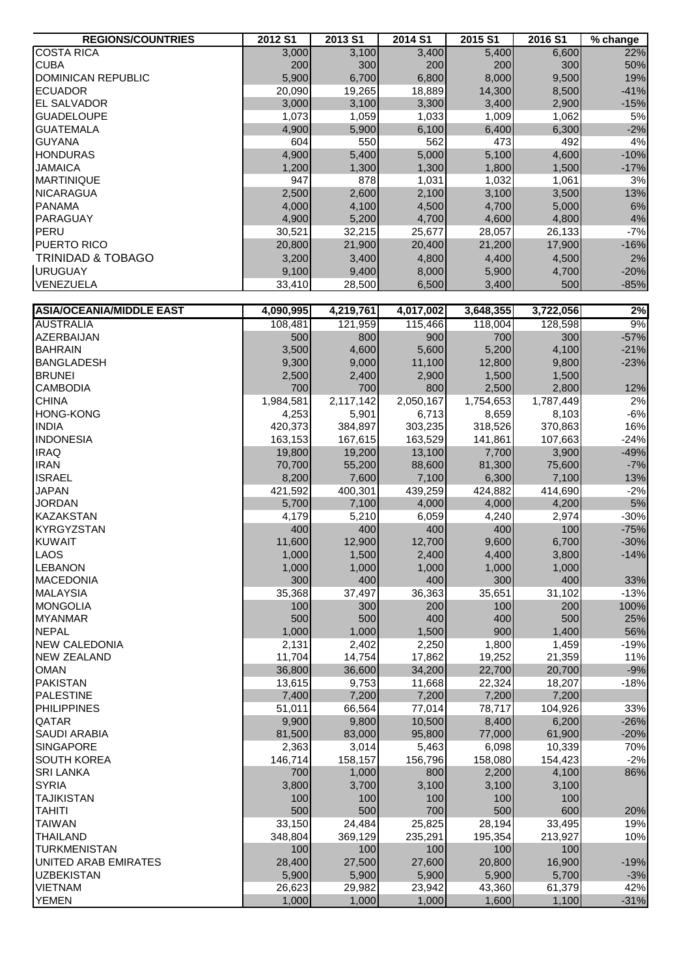| <b>REGIONS/COUNTRIES</b>        | 2012 S1          | 2013 S1         | 2014 S1          | 2015 S1         | 2016 S1         | % change        |
|---------------------------------|------------------|-----------------|------------------|-----------------|-----------------|-----------------|
| <b>COSTA RICA</b>               | 3,000            | 3,100           | 3,400            | 5,400           | 6,600           | 22%             |
| <b>CUBA</b>                     | 200              | 300             | 200              | 200             | 300             | 50%             |
| DOMINICAN REPUBLIC              | 5,900            | 6,700           | 6,800            | 8,000           | 9,500           | 19%             |
| <b>ECUADOR</b>                  | 20,090           | 19,265          | 18,889           | 14,300          | 8,500           | $-41%$          |
| <b>EL SALVADOR</b>              | 3,000            | 3,100           | 3,300            | 3,400           | 2,900           | $-15%$          |
| <b>GUADELOUPE</b>               | 1,073            | 1,059           | 1,033            | 1,009           | 1,062           | 5%              |
| <b>GUATEMALA</b>                | 4,900            | 5,900           | 6,100            | 6,400           | 6,300           | $-2%$           |
| <b>GUYANA</b>                   | 604              | 550             | 562              | 473             | 492             | 4%              |
| <b>HONDURAS</b>                 | 4,900            | 5,400           | 5,000            | 5,100           | 4,600           | $-10%$          |
| <b>JAMAICA</b>                  | 1,200            | 1,300           | 1,300            | 1,800           | 1,500           | $-17%$          |
| <b>MARTINIQUE</b>               | 947              | 878             | 1,031            | 1,032           | 1,061           | 3%              |
| <b>NICARAGUA</b>                | 2,500            | 2,600           | 2,100            | 3,100           | 3,500           | 13%             |
| <b>PANAMA</b>                   | 4,000            | 4,100           | 4,500            | 4,700           | 5,000           | $6\%$           |
| PARAGUAY                        | 4,900            | 5,200           | 4,700            | 4,600           | 4,800           | 4%              |
| PERU                            | 30,521           | 32,215          | 25,677           | 28,057          | 26,133          | $-7%$           |
| PUERTO RICO                     | 20,800           | 21,900          | 20,400           | 21,200          | 17,900          | $-16%$          |
| <b>TRINIDAD &amp; TOBAGO</b>    | 3,200            | 3,400           | 4,800            | 4,400           | 4,500           | 2%              |
| <b>URUGUAY</b>                  | 9,100            | 9,400           | 8,000            | 5,900           | 4,700           | $-20%$          |
| VENEZUELA                       | 33,410           | 28,500          | 6,500            | 3,400           | 500             | $-85%$          |
|                                 |                  |                 |                  |                 |                 |                 |
| <b>ASIA/OCEANIA/MIDDLE EAST</b> | 4,090,995        | 4,219,761       | 4,017,002        | 3,648,355       | 3,722,056       | 2%              |
| <b>AUSTRALIA</b>                | 108,481          | 121,959         | 115,466          | 118,004         | 128,598         | 9%              |
| AZERBAIJAN                      | 500              | 800             | 900              | 700             | 300             | $-57%$          |
| <b>BAHRAIN</b>                  | 3,500            | 4,600           | 5,600            | 5,200           | 4,100           | $-21%$          |
| <b>BANGLADESH</b>               | 9,300            | 9,000           | 11,100           | 12,800          | 9,800           | $-23%$          |
| <b>BRUNEI</b>                   | 2,500            | 2,400           | 2,900            | 1,500           | 1,500           |                 |
| <b>CAMBODIA</b>                 | 700              | 700             | 800              | 2,500           | 2,800           | 12%             |
| <b>CHINA</b>                    | 1,984,581        | 2,117,142       | 2,050,167        | 1,754,653       | 1,787,449       | 2%              |
| <b>HONG-KONG</b>                | 4,253            | 5,901           | 6,713            | 8,659           | 8,103           | $-6%$           |
| <b>INDIA</b>                    | 420,373          | 384,897         | 303,235          | 318,526         | 370,863         | 16%             |
| <b>INDONESIA</b>                | 163,153          | 167,615         | 163,529          | 141,861         | 107,663         | $-24%$          |
| <b>IRAQ</b><br><b>IRAN</b>      | 19,800<br>70,700 | 19,200          | 13,100<br>88,600 | 7,700<br>81,300 | 3,900<br>75,600 | $-49%$<br>$-7%$ |
| <b>ISRAEL</b>                   | 8,200            | 55,200<br>7,600 | 7,100            | 6,300           | 7,100           | 13%             |
| <b>JAPAN</b>                    | 421,592          | 400,301         | 439,259          | 424,882         | 414,690         | $-2%$           |
| <b>JORDAN</b>                   | 5,700            | 7,100           | 4,000            | 4,000           | 4,200           | $5%$            |
| <b>KAZAKSTAN</b>                | 4,179            | 5,210           | 6,059            | 4,240           | 2,974           | $-30%$          |
| <b>KYRGYZSTAN</b>               | 400              | 400             | 400              | 400             | 100             | $-75%$          |
| <b>KUWAIT</b>                   | 11,600           | 12,900          | 12,700           | 9,600           | 6,700           | $-30%$          |
| <b>LAOS</b>                     | 1,000            | 1,500           | 2,400            | 4,400           | 3,800           | $-14%$          |
| <b>LEBANON</b>                  | 1,000            | 1,000           | 1,000            | 1,000           | 1,000           |                 |
| <b>MACEDONIA</b>                | 300              | 400             | 400              | 300             | 400             | 33%             |
| <b>MALAYSIA</b>                 | 35,368           | 37,497          | 36,363           | 35,651          | 31,102          | $-13%$          |
| <b>MONGOLIA</b>                 | 100              | 300             | 200              | 100             | 200             | 100%            |
| <b>MYANMAR</b>                  | 500              | 500             | 400              | 400             | 500             | 25%             |
| <b>NEPAL</b>                    | 1,000            | 1,000           | 1,500            | 900             | 1,400           | 56%             |
| <b>NEW CALEDONIA</b>            | 2,131            | 2,402           | 2,250            | 1,800           | 1,459           | $-19%$          |
| <b>NEW ZEALAND</b>              | 11,704           | 14,754          | 17,862           | 19,252          | 21,359          | 11%             |
| <b>OMAN</b>                     | 36,800           | 36,600          | 34,200           | 22,700          | 20,700          | $-9%$           |
| <b>PAKISTAN</b>                 | 13,615           | 9,753           | 11,668           | 22,324          | 18,207          | $-18%$          |
| <b>PALESTINE</b>                | 7,400            | 7,200           | 7,200            | 7,200           | 7,200           |                 |
| PHILIPPINES                     | 51,011           | 66,564          | 77,014           | 78,717          | 104,926         | 33%             |
| <b>QATAR</b>                    | 9,900            | 9,800           | 10,500           | 8,400           | 6,200           | $-26%$          |
| <b>SAUDI ARABIA</b>             | 81,500           | 83,000          | 95,800           | 77,000          | 61,900          | $-20%$          |
| <b>SINGAPORE</b>                | 2,363            | 3,014           | 5,463            | 6,098           | 10,339          | 70%             |
| <b>SOUTH KOREA</b>              | 146,714          | 158,157         | 156,796          | 158,080         | 154,423         | $-2%$           |
| <b>SRI LANKA</b>                | 700              | 1,000           | 800              | 2,200           | 4,100           | 86%             |
| <b>SYRIA</b>                    | 3,800            | 3,700           | 3,100            | 3,100           | 3,100           |                 |
| <b>TAJIKISTAN</b>               | 100              | 100             | 100              | 100             | 100             |                 |
| <b>TAHITI</b>                   | 500              | 500             | 700              | 500             | 600             | 20%             |
| <b>TAIWAN</b>                   | 33,150           | 24,484          | 25,825           | 28,194          | 33,495          | 19%             |
| <b>THAILAND</b>                 | 348,804          | 369,129         | 235,291          | 195,354         | 213,927         | 10%             |
| <b>TURKMENISTAN</b>             | 100              | 100             | 100              | 100             | 100             |                 |
| UNITED ARAB EMIRATES            | 28,400           | 27,500          | 27,600           | 20,800          | 16,900          | $-19%$          |
| <b>UZBEKISTAN</b>               | 5,900            | 5,900           | 5,900            | 5,900           | 5,700           | $-3%$           |
| <b>VIETNAM</b>                  | 26,623           | 29,982          | 23,942           | 43,360          | 61,379          | 42%             |
| <b>YEMEN</b>                    | 1,000            | 1,000           | 1,000            | 1,600           | 1,100           | $-31%$          |